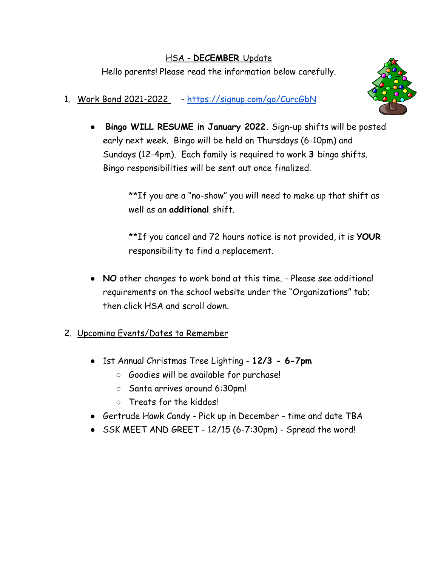## HSA - **DECEMBER** Update

Hello parents! Please read the information below carefully.



- 1. Work Bond 2021-2022 <https://signup.com/go/CurcGbN>
	- **Bingo WILL RESUME in January 2022.** Sign-up shifts will be posted early next week. Bingo will be held on Thursdays (6-10pm) and Sundays (12-4pm). Each family is required to work **3** bingo shifts. Bingo responsibilities will be sent out once finalized.

\*\*If you are a "no-show" you will need to make up that shift as well as an **additional** shift.

\*\*If you cancel and 72 hours notice is not provided, it is **YOUR** responsibility to find a replacement.

● **NO** other changes to work bond at this time. - Please see additional requirements on the school website under the "Organizations" tab; then click HSA and scroll down.

## 2. Upcoming Events/Dates to Remember

- 1st Annual Christmas Tree Lighting **12/3 6-7pm**
	- Goodies will be available for purchase!
	- Santa arrives around 6:30pm!
	- Treats for the kiddos!
- Gertrude Hawk Candy Pick up in December time and date TBA
- SSK MEET AND GREET 12/15 (6-7:30pm) Spread the word!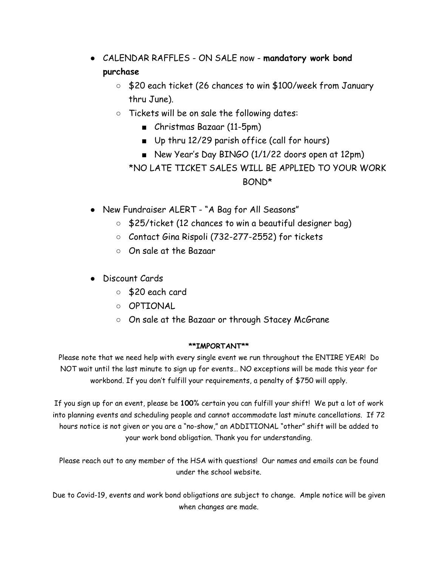- CALENDAR RAFFLES ON SALE now **mandatory work bond purchase**
	- \$20 each ticket (26 chances to win \$100/week from January thru June).
	- Tickets will be on sale the following dates:
		- Christmas Bazaar (11-5pm)
		- Up thru 12/29 parish office (call for hours)
		- New Year's Day BINGO (1/1/22 doors open at 12pm) \*NO LATE TICKET SALES WILL BE APPLIED TO YOUR WORK BOND\*
- New Fundraiser ALERT "A Bag for All Seasons"
	- \$25/ticket (12 chances to win a beautiful designer bag)
	- Contact Gina Rispoli (732-277-2552) for tickets
	- On sale at the Bazaar
- Discount Cards
	- \$20 each card
	- OPTIONAL
	- On sale at the Bazaar or through Stacey McGrane

## **\*\*IMPORTANT\*\***

Please note that we need help with every single event we run throughout the ENTIRE YEAR! Do NOT wait until the last minute to sign up for events… NO exceptions will be made this year for workbond. If you don't fulfill your requirements, a penalty of \$750 will apply.

If you sign up for an event, please be **100**% certain you can fulfill your shift! We put a lot of work into planning events and scheduling people and cannot accommodate last minute cancellations. If 72 hours notice is not given or you are a "no-show," an ADDITIONAL "other" shift will be added to your work bond obligation. Thank you for understanding.

Please reach out to any member of the HSA with questions! Our names and emails can be found under the school website.

Due to Covid-19, events and work bond obligations are subject to change. Ample notice will be given when changes are made.